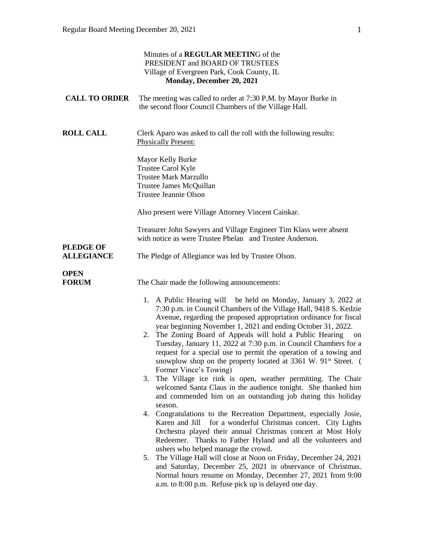|                                       | Minutes of a REGULAR MEETING of the<br>PRESIDENT and BOARD OF TRUSTEES<br>Village of Evergreen Park, Cook County, IL<br>Monday, December 20, 2021                                                                                                                                                                                                                                                                                                                                                                                                                                             |
|---------------------------------------|-----------------------------------------------------------------------------------------------------------------------------------------------------------------------------------------------------------------------------------------------------------------------------------------------------------------------------------------------------------------------------------------------------------------------------------------------------------------------------------------------------------------------------------------------------------------------------------------------|
| <b>CALL TO ORDER</b>                  | The meeting was called to order at 7:30 P.M. by Mayor Burke in<br>the second floor Council Chambers of the Village Hall.                                                                                                                                                                                                                                                                                                                                                                                                                                                                      |
| <b>ROLL CALL</b>                      | Clerk Aparo was asked to call the roll with the following results:<br><b>Physically Present:</b><br>Mayor Kelly Burke<br>Trustee Carol Kyle<br><b>Trustee Mark Marzullo</b><br>Trustee James McQuillan                                                                                                                                                                                                                                                                                                                                                                                        |
|                                       | Trustee Jeannie Olson                                                                                                                                                                                                                                                                                                                                                                                                                                                                                                                                                                         |
|                                       | Also present were Village Attorney Vincent Cainkar.                                                                                                                                                                                                                                                                                                                                                                                                                                                                                                                                           |
|                                       | Treasurer John Sawyers and Village Engineer Tim Klass were absent<br>with notice as were Trustee Phelan and Trustee Anderson.                                                                                                                                                                                                                                                                                                                                                                                                                                                                 |
| <b>PLEDGE OF</b><br><b>ALLEGIANCE</b> | The Pledge of Allegiance was led by Trustee Olson.                                                                                                                                                                                                                                                                                                                                                                                                                                                                                                                                            |
| <b>OPEN</b><br><b>FORUM</b>           | The Chair made the following announcements:                                                                                                                                                                                                                                                                                                                                                                                                                                                                                                                                                   |
|                                       | 1. A Public Hearing will be held on Monday, January 3, 2022 at<br>7:30 p.m. in Council Chambers of the Village Hall, 9418 S. Kedzie<br>Avenue, regarding the proposed appropriation ordinance for fiscal<br>year beginning November 1, 2021 and ending October 31, 2022.<br>2. The Zoning Board of Appeals will hold a Public Hearing<br>on<br>Tuesday, January 11, 2022 at 7:30 p.m. in Council Chambers for a<br>request for a special use to permit the operation of a towing and<br>snowplow shop on the property located at 3361 W. 91 <sup>st</sup> Street. (<br>Former Vince's Towing) |
|                                       | The Village ice rink is open, weather permitting. The Chair<br>3.<br>welcomed Santa Claus in the audience tonight. She thanked him<br>and commended him on an outstanding job during this holiday<br>season.                                                                                                                                                                                                                                                                                                                                                                                  |
|                                       | Congratulations to the Recreation Department, especially Josie,<br>4.<br>Karen and Jill for a wonderful Christmas concert. City Lights<br>Orchestra played their annual Christmas concert at Most Holy<br>Redeemer. Thanks to Father Hyland and all the volunteers and                                                                                                                                                                                                                                                                                                                        |
|                                       | ushers who helped manage the crowd.<br>The Village Hall will close at Noon on Friday, December 24, 2021<br>5.<br>and Saturday, December 25, 2021 in observance of Christmas.<br>Normal hours resume on Monday, December 27, 2021 from 9:00<br>a.m. to 8:00 p.m. Refuse pick up is delayed one day.                                                                                                                                                                                                                                                                                            |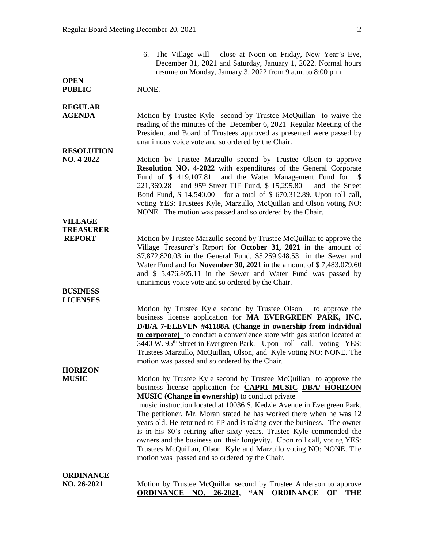|                                                     | 6. The Village will close at Noon on Friday, New Year's Eve,<br>December 31, 2021 and Saturday, January 1, 2022. Normal hours<br>resume on Monday, January 3, 2022 from 9 a.m. to 8:00 p.m.                                                                                                                                                                                                                                                                                                                                                                                                                                                                                                           |
|-----------------------------------------------------|-------------------------------------------------------------------------------------------------------------------------------------------------------------------------------------------------------------------------------------------------------------------------------------------------------------------------------------------------------------------------------------------------------------------------------------------------------------------------------------------------------------------------------------------------------------------------------------------------------------------------------------------------------------------------------------------------------|
| <b>OPEN</b><br><b>PUBLIC</b>                        | NONE.                                                                                                                                                                                                                                                                                                                                                                                                                                                                                                                                                                                                                                                                                                 |
| <b>REGULAR</b><br><b>AGENDA</b>                     | Motion by Trustee Kyle second by Trustee McQuillan to waive the<br>reading of the minutes of the December 6, 2021 Regular Meeting of the<br>President and Board of Trustees approved as presented were passed by<br>unanimous voice vote and so ordered by the Chair.                                                                                                                                                                                                                                                                                                                                                                                                                                 |
| <b>RESOLUTION</b><br>NO. 4-2022                     | Motion by Trustee Marzullo second by Trustee Olson to approve<br>Resolution NO. 4-2022 with expenditures of the General Corporate<br>and the Water Management Fund for \$<br>Fund of \$419,107.81<br>221,369.28 and 95 <sup>th</sup> Street TIF Fund, \$15,295.80<br>and the Street<br>Bond Fund, \$ 14,540.00 for a total of \$ 670,312.89. Upon roll call,<br>voting YES: Trustees Kyle, Marzullo, McQuillan and Olson voting NO:<br>NONE. The motion was passed and so ordered by the Chair.                                                                                                                                                                                                       |
| <b>VILLAGE</b><br><b>TREASURER</b><br><b>REPORT</b> | Motion by Trustee Marzullo second by Trustee McQuillan to approve the<br>Village Treasurer's Report for October 31, 2021 in the amount of<br>\$7,872,820.03 in the General Fund, \$5,259,948.53 in the Sewer and<br>Water Fund and for November 30, 2021 in the amount of \$7,483,079.60<br>and \$ 5,476,805.11 in the Sewer and Water Fund was passed by<br>unanimous voice vote and so ordered by the Chair.                                                                                                                                                                                                                                                                                        |
| <b>BUSINESS</b><br><b>LICENSES</b>                  | Motion by Trustee Kyle second by Trustee Olson<br>to approve the<br>business license application for MA EVERGREEN PARK, INC.<br>D/B/A 7-ELEVEN #41188A (Change in ownership from individual<br>to corporate) to conduct a convenience store with gas station located at<br>3440 W. 95 <sup>th</sup> Street in Evergreen Park. Upon roll call, voting YES:<br>Trustees Marzullo, McQuillan, Olson, and Kyle voting NO: NONE. The<br>motion was passed and so ordered by the Chair.                                                                                                                                                                                                                     |
| <b>HORIZON</b><br><b>MUSIC</b>                      | Motion by Trustee Kyle second by Trustee McQuillan to approve the<br>business license application for <b>CAPRI MUSIC DBA/ HORIZON</b><br><b>MUSIC</b> (Change in ownership) to conduct private<br>music instruction located at 10036 S. Kedzie Avenue in Evergreen Park.<br>The petitioner, Mr. Moran stated he has worked there when he was 12<br>years old. He returned to EP and is taking over the business. The owner<br>is in his 80's retiring after sixty years. Trustee Kyle commended the<br>owners and the business on their longevity. Upon roll call, voting YES:<br>Trustees McQuillan, Olson, Kyle and Marzullo voting NO: NONE. The<br>motion was passed and so ordered by the Chair. |
| ORDINANCE                                           |                                                                                                                                                                                                                                                                                                                                                                                                                                                                                                                                                                                                                                                                                                       |

**NO. 26-2021** Motion by Trustee McQuillan second by Trustee Anderson to approve **ORDINANCE NO. 26-2021**, **"AN ORDINANCE OF THE**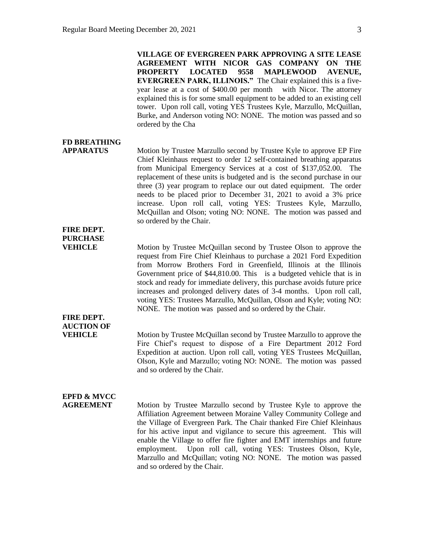**VILLAGE OF EVERGREEN PARK APPROVING A SITE LEASE AGREEMENT WITH NICOR GAS COMPANY ON THE PROPERTY LOCATED 9558 MAPLEWOOD AVENUE, EVERGREEN PARK, ILLINOIS."** The Chair explained this is a fiveyear lease at a cost of \$400.00 per month with Nicor. The attorney explained this is for some small equipment to be added to an existing cell tower. Upon roll call, voting YES Trustees Kyle, Marzullo, McQuillan, Burke, and Anderson voting NO: NONE. The motion was passed and so ordered by the Cha

## **FD BREATHING**

**FIRE DEPT. PURCHASE**

**FIRE DEPT. AUCTION OF**

**APPARATUS** Motion by Trustee Marzullo second by Trustee Kyle to approve EP Fire Chief Kleinhaus request to order 12 self-contained breathing apparatus from Municipal Emergency Services at a cost of \$137,052.00. The replacement of these units is budgeted and is the second purchase in our three (3) year program to replace our out dated equipment. The order needs to be placed prior to December 31, 2021 to avoid a 3% price increase. Upon roll call, voting YES: Trustees Kyle, Marzullo, McQuillan and Olson; voting NO: NONE. The motion was passed and so ordered by the Chair.

**VEHICLE** Motion by Trustee McQuillan second by Trustee Olson to approve the request from Fire Chief Kleinhaus to purchase a 2021 Ford Expedition from Morrow Brothers Ford in Greenfield, Illinois at the Illinois Government price of \$44,810.00. This is a budgeted vehicle that is in stock and ready for immediate delivery, this purchase avoids future price increases and prolonged delivery dates of 3-4 months. Upon roll call, voting YES: Trustees Marzullo, McQuillan, Olson and Kyle; voting NO: NONE. The motion was passed and so ordered by the Chair.

**VEHICLE** Motion by Trustee McQuillan second by Trustee Marzullo to approve the Fire Chief's request to dispose of a Fire Department 2012 Ford Expedition at auction. Upon roll call, voting YES Trustees McQuillan, Olson, Kyle and Marzullo; voting NO: NONE. The motion was passed and so ordered by the Chair.

## **EPFD & MVCC**

**AGREEMENT** Motion by Trustee Marzullo second by Trustee Kyle to approve the Affiliation Agreement between Moraine Valley Community College and the Village of Evergreen Park. The Chair thanked Fire Chief Kleinhaus for his active input and vigilance to secure this agreement. This will enable the Village to offer fire fighter and EMT internships and future employment. Upon roll call, voting YES: Trustees Olson, Kyle, Marzullo and McQuillan; voting NO: NONE. The motion was passed and so ordered by the Chair.